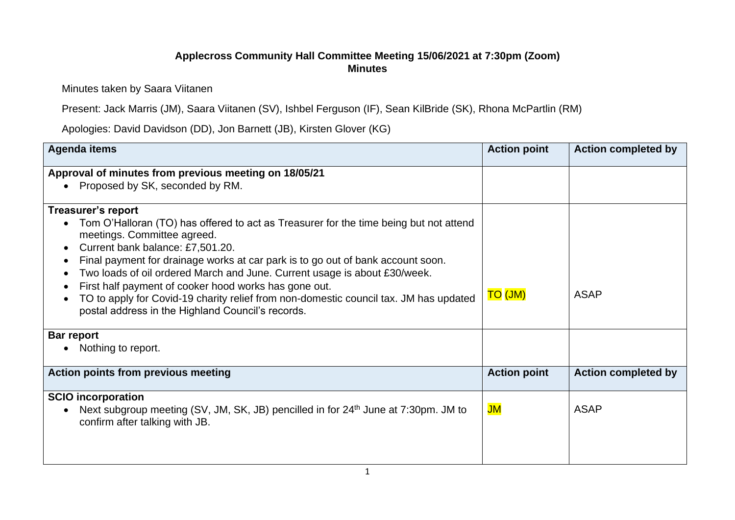## **Applecross Community Hall Committee Meeting 15/06/2021 at 7:30pm (Zoom) Minutes**

Minutes taken by Saara Viitanen

Present: Jack Marris (JM), Saara Viitanen (SV), Ishbel Ferguson (IF), Sean KilBride (SK), Rhona McPartlin (RM)

Apologies: David Davidson (DD), Jon Barnett (JB), Kirsten Glover (KG)

| <b>Agenda items</b>                                                                                                                                                                                                                                                                                                                                                                                                                                                                                                             | <b>Action point</b> | <b>Action completed by</b> |
|---------------------------------------------------------------------------------------------------------------------------------------------------------------------------------------------------------------------------------------------------------------------------------------------------------------------------------------------------------------------------------------------------------------------------------------------------------------------------------------------------------------------------------|---------------------|----------------------------|
| Approval of minutes from previous meeting on 18/05/21                                                                                                                                                                                                                                                                                                                                                                                                                                                                           |                     |                            |
| Proposed by SK, seconded by RM.                                                                                                                                                                                                                                                                                                                                                                                                                                                                                                 |                     |                            |
| <b>Treasurer's report</b>                                                                                                                                                                                                                                                                                                                                                                                                                                                                                                       |                     |                            |
| Tom O'Halloran (TO) has offered to act as Treasurer for the time being but not attend<br>meetings. Committee agreed.<br>Current bank balance: £7,501.20.<br>Final payment for drainage works at car park is to go out of bank account soon.<br>Two loads of oil ordered March and June. Current usage is about £30/week.<br>First half payment of cooker hood works has gone out.<br>TO to apply for Covid-19 charity relief from non-domestic council tax. JM has updated<br>postal address in the Highland Council's records. | <b>TO (JM)</b>      | <b>ASAP</b>                |
| <b>Bar report</b>                                                                                                                                                                                                                                                                                                                                                                                                                                                                                                               |                     |                            |
| Nothing to report.                                                                                                                                                                                                                                                                                                                                                                                                                                                                                                              |                     |                            |
| <b>Action points from previous meeting</b>                                                                                                                                                                                                                                                                                                                                                                                                                                                                                      | <b>Action point</b> | <b>Action completed by</b> |
| <b>SCIO</b> incorporation                                                                                                                                                                                                                                                                                                                                                                                                                                                                                                       |                     |                            |
| Next subgroup meeting (SV, JM, SK, JB) pencilled in for 24 <sup>th</sup> June at 7:30pm. JM to<br>confirm after talking with JB.                                                                                                                                                                                                                                                                                                                                                                                                | JM                  | <b>ASAP</b>                |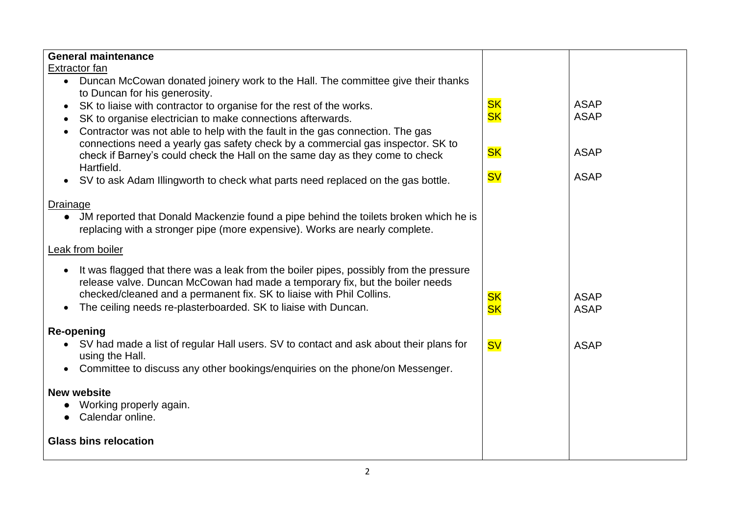| <b>General maintenance</b><br>Extractor fan                                                                                                                                                                                                                                                                                   |                        |                            |
|-------------------------------------------------------------------------------------------------------------------------------------------------------------------------------------------------------------------------------------------------------------------------------------------------------------------------------|------------------------|----------------------------|
| Duncan McCowan donated joinery work to the Hall. The committee give their thanks<br>$\bullet$                                                                                                                                                                                                                                 |                        |                            |
| to Duncan for his generosity.<br>SK to liaise with contractor to organise for the rest of the works.<br>$\bullet$<br>SK to organise electrician to make connections afterwards.<br>$\bullet$<br>Contractor was not able to help with the fault in the gas connection. The gas<br>$\bullet$                                    | <b>SK</b><br><b>SK</b> | <b>ASAP</b><br><b>ASAP</b> |
| connections need a yearly gas safety check by a commercial gas inspector. SK to<br>check if Barney's could check the Hall on the same day as they come to check<br>Hartfield.                                                                                                                                                 | <b>SK</b>              | <b>ASAP</b>                |
| SV to ask Adam Illingworth to check what parts need replaced on the gas bottle.<br>$\bullet$                                                                                                                                                                                                                                  | <b>SV</b>              | <b>ASAP</b>                |
| Drainage<br>JM reported that Donald Mackenzie found a pipe behind the toilets broken which he is<br>replacing with a stronger pipe (more expensive). Works are nearly complete.                                                                                                                                               |                        |                            |
| Leak from boiler                                                                                                                                                                                                                                                                                                              |                        |                            |
| It was flagged that there was a leak from the boiler pipes, possibly from the pressure<br>release valve. Duncan McCowan had made a temporary fix, but the boiler needs<br>checked/cleaned and a permanent fix. SK to liaise with Phil Collins.<br>The ceiling needs re-plasterboarded. SK to liaise with Duncan.<br>$\bullet$ | <b>SK</b><br><b>SK</b> | <b>ASAP</b><br><b>ASAP</b> |
| <b>Re-opening</b>                                                                                                                                                                                                                                                                                                             |                        |                            |
| SV had made a list of regular Hall users. SV to contact and ask about their plans for<br>using the Hall.<br>Committee to discuss any other bookings/enquiries on the phone/on Messenger.<br>$\bullet$                                                                                                                         | <b>SV</b>              | <b>ASAP</b>                |
|                                                                                                                                                                                                                                                                                                                               |                        |                            |
| <b>New website</b><br>Working properly again.<br>Calendar online.                                                                                                                                                                                                                                                             |                        |                            |
| <b>Glass bins relocation</b>                                                                                                                                                                                                                                                                                                  |                        |                            |